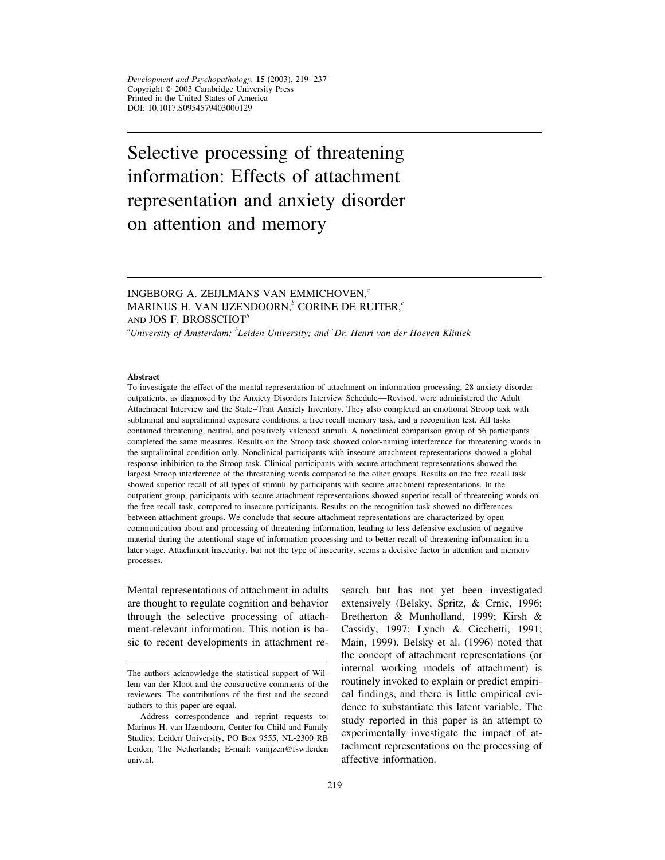# Selective processing of threatening information: Effects of attachment representation and anxiety disorder on attention and memory

# INGEBORG A. ZEIJLMANS VAN EMMICHOVEN,*<sup>a</sup>* MARINUS H. VAN IJZENDOORN,*<sup>b</sup>* CORINE DE RUITER,*<sup>c</sup>* AND JOS F. BROSSCHOT*<sup>b</sup>*

*a University of Amsterdam; <sup>b</sup> Leiden University; and <sup>c</sup> Dr. Henri van der Hoeven Kliniek*

# **Abstract**

To investigate the effect of the mental representation of attachment on information processing, 28 anxiety disorder outpatients, as diagnosed by the Anxiety Disorders Interview Schedule—Revised, were administered the Adult Attachment Interview and the State–Trait Anxiety Inventory. They also completed an emotional Stroop task with subliminal and supraliminal exposure conditions, a free recall memory task, and a recognition test. All tasks contained threatening, neutral, and positively valenced stimuli. A nonclinical comparison group of 56 participants completed the same measures. Results on the Stroop task showed color-naming interference for threatening words in the supraliminal condition only. Nonclinical participants with insecure attachment representations showed a global response inhibition to the Stroop task. Clinical participants with secure attachment representations showed the largest Stroop interference of the threatening words compared to the other groups. Results on the free recall task showed superior recall of all types of stimuli by participants with secure attachment representations. In the outpatient group, participants with secure attachment representations showed superior recall of threatening words on the free recall task, compared to insecure participants. Results on the recognition task showed no differences between attachment groups. We conclude that secure attachment representations are characterized by open communication about and processing of threatening information, leading to less defensive exclusion of negative material during the attentional stage of information processing and to better recall of threatening information in a later stage. Attachment insecurity, but not the type of insecurity, seems a decisive factor in attention and memory processes.

Mental representations of attachment in adults search but has not yet been investigated are thought to regulate cognition and behavior extensively (Belsky, Spritz, & Crnic, 1996; through the selective processing of attach- Bretherton & Munholland, 1999; Kirsh & ment-relevant information. This notion is ba- Cassidy, 1997; Lynch & Cicchetti, 1991; sic to recent developments in attachment re- Main, 1999). Belsky et al. (1996) noted that the concept of attachment representations (or The authors acknowledge the statistical support of Willington and working models of attachment) is tem van der Kloot and the constructive comments of the routinely invoked to explain or predict empiriauthors to this paper are equal. dence to substantiate this latent variable. The Address correspondence and reprint requests to:<br>
Marinus H. van IJzendoorn, Center for Child and Family<br>
Studies, Leiden University, PO Box 9555, NL-2300 RB<br>
experimentally investigate the impact of at-Leiden, The Netherlands; E-mail: vanijzen@fsw.leiden tachment representations on the processing of

lem van der Kloot and the constructive comments of the reviewers. The contributions of the first and the second cal findings, and there is little empirical evi-

univ.nl. **affective information**.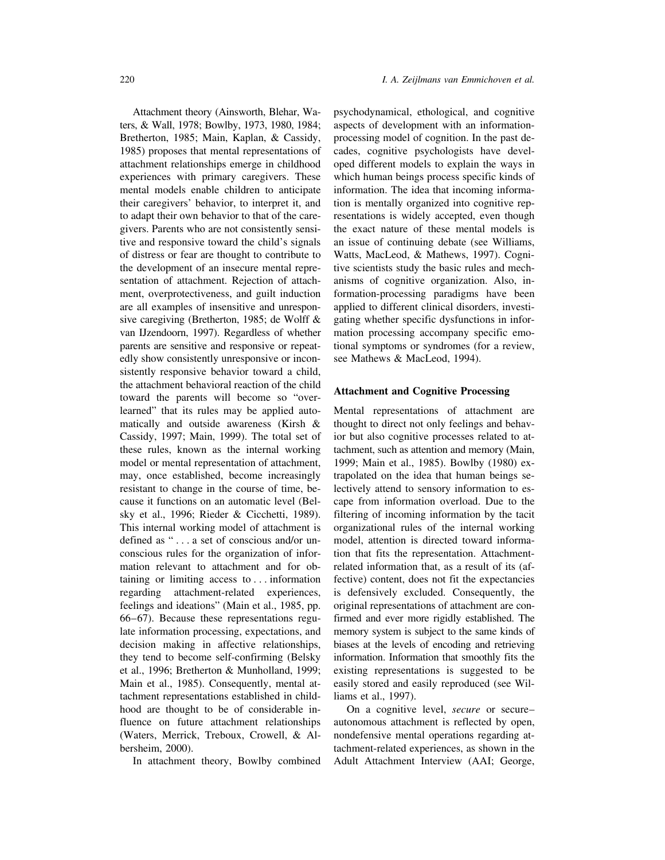ters, & Wall, 1978; Bowlby, 1973, 1980, 1984; aspects of development with an information-Bretherton, 1985; Main, Kaplan, & Cassidy, processing model of cognition. In the past de-1985) proposes that mental representations of cades, cognitive psychologists have develattachment relationships emerge in childhood oped different models to explain the ways in experiences with primary caregivers. These which human beings process specific kinds of mental models enable children to anticipate information. The idea that incoming informatheir caregivers' behavior, to interpret it, and tion is mentally organized into cognitive repto adapt their own behavior to that of the care- resentations is widely accepted, even though givers. Parents who are not consistently sensi- the exact nature of these mental models is tive and responsive toward the child's signals an issue of continuing debate (see Williams, of distress or fear are thought to contribute to Watts, MacLeod, & Mathews, 1997). Cognithe development of an insecure mental repre- tive scientists study the basic rules and mechsentation of attachment. Rejection of attach- anisms of cognitive organization. Also, inment, overprotectiveness, and guilt induction formation-processing paradigms have been are all examples of insensitive and unrespon- applied to different clinical disorders, investisive caregiving (Bretherton, 1985; de Wolff  $\&$  gating whether specific dysfunctions in inforvan IJzendoorn, 1997). Regardless of whether mation processing accompany specific emoparents are sensitive and responsive or repeat- tional symptoms or syndromes (for a review, edly show consistently unresponsive or incon- see Mathews & MacLeod, 1994). sistently responsive behavior toward a child, the attachment behavioral reaction of the child **Attachment and Cognitive Processing** toward the parents will become so "overlearned" that its rules may be applied auto- Mental representations of attachment are mation relevant to attachment and for ob- related information that, as a result of its (aftachment representations established in child- liams et al., 1997). hood are thought to be of considerable in- On a cognitive level, *secure* or secure– fluence on future attachment relationships autonomous attachment is reflected by open, (Waters, Merrick, Treboux, Crowell, & Al- nondefensive mental operations regarding at-

Attachment theory (Ainsworth, Blehar, Wa- psychodynamical, ethological, and cognitive

matically and outside awareness (Kirsh  $\&$  thought to direct not only feelings and behav-Cassidy, 1997; Main, 1999). The total set of ior but also cognitive processes related to atthese rules, known as the internal working tachment, such as attention and memory (Main, model or mental representation of attachment, 1999; Main et al., 1985). Bowlby (1980) exmay, once established, become increasingly trapolated on the idea that human beings seresistant to change in the course of time, be- lectively attend to sensory information to escause it functions on an automatic level (Bel- cape from information overload. Due to the sky et al., 1996; Rieder & Cicchetti, 1989). filtering of incoming information by the tacit This internal working model of attachment is organizational rules of the internal working defined as "... a set of conscious and/or un- model, attention is directed toward informaconscious rules for the organization of infor- tion that fits the representation. Attachmenttaining or limiting access to... information fective) content, does not fit the expectancies regarding attachment-related experiences, is defensively excluded. Consequently, the feelings and ideations" (Main et al., 1985, pp. original representations of attachment are con-66–67). Because these representations regu- firmed and ever more rigidly established. The late information processing, expectations, and memory system is subject to the same kinds of decision making in affective relationships, biases at the levels of encoding and retrieving they tend to become self-confirming (Belsky information. Information that smoothly fits the et al., 1996; Bretherton & Munholland, 1999; existing representations is suggested to be Main et al., 1985). Consequently, mental at- easily stored and easily reproduced (see Wil-

bersheim, 2000). tachment-related experiences, as shown in the In attachment theory, Bowlby combined Adult Attachment Interview (AAI; George,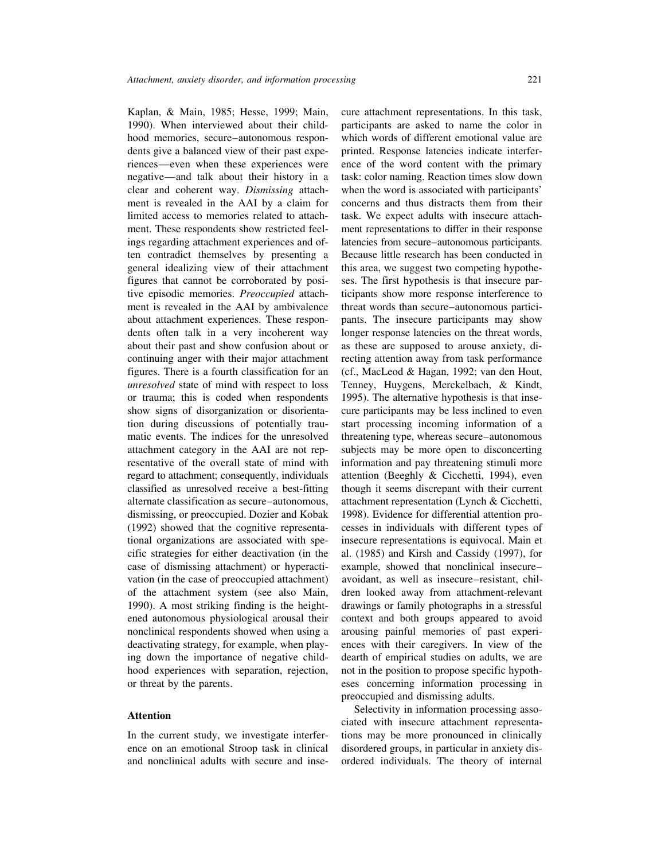1990). When interviewed about their child- participants are asked to name the color in hood memories, secure–autonomous respon- which words of different emotional value are dents give a balanced view of their past expe- printed. Response latencies indicate interferriences—even when these experiences were ence of the word content with the primary negative—and talk about their history in a task: color naming. Reaction times slow down clear and coherent way. *Dismissing* attach- when the word is associated with participants' ment is revealed in the AAI by a claim for concerns and thus distracts them from their limited access to memories related to attach- task. We expect adults with insecure attachment. These respondents show restricted feel- ment representations to differ in their response ings regarding attachment experiences and of- latencies from secure–autonomous participants. ten contradict themselves by presenting a Because little research has been conducted in general idealizing view of their attachment this area, we suggest two competing hypothefigures that cannot be corroborated by posi- ses. The first hypothesis is that insecure partive episodic memories. *Preoccupied* attach- ticipants show more response interference to ment is revealed in the AAI by ambivalence threat words than secure–autonomous particiabout attachment experiences. These respon- pants. The insecure participants may show dents often talk in a very incoherent way longer response latencies on the threat words, about their past and show confusion about or as these are supposed to arouse anxiety, dicontinuing anger with their major attachment recting attention away from task performance figures. There is a fourth classification for an (cf., MacLeod & Hagan, 1992; van den Hout, *unresolved* state of mind with respect to loss Tenney, Huygens, Merckelbach, & Kindt, or trauma; this is coded when respondents 1995). The alternative hypothesis is that inseshow signs of disorganization or disorienta- cure participants may be less inclined to even tion during discussions of potentially trau- start processing incoming information of a matic events. The indices for the unresolved threatening type, whereas secure–autonomous attachment category in the AAI are not rep- subjects may be more open to disconcerting resentative of the overall state of mind with information and pay threatening stimuli more regard to attachment; consequently, individuals attention (Beeghly & Cicchetti, 1994), even classified as unresolved receive a best-fitting though it seems discrepant with their current alternate classification as secure–autonomous, attachment representation (Lynch & Cicchetti, dismissing, or preoccupied. Dozier and Kobak 1998). Evidence for differential attention pro- (1992) showed that the cognitive representa- cesses in individuals with different types of tional organizations are associated with spe- insecure representations is equivocal. Main et cific strategies for either deactivation (in the al. (1985) and Kirsh and Cassidy (1997), for case of dismissing attachment) or hyperacti- example, showed that nonclinical insecure– vation (in the case of preoccupied attachment) avoidant, as well as insecure–resistant, chilof the attachment system (see also Main, dren looked away from attachment-relevant 1990). A most striking finding is the height- drawings or family photographs in a stressful ened autonomous physiological arousal their context and both groups appeared to avoid nonclinical respondents showed when using a arousing painful memories of past experideactivating strategy, for example, when play- ences with their caregivers. In view of the ing down the importance of negative child- dearth of empirical studies on adults, we are hood experiences with separation, rejection, not in the position to propose specific hypothor threat by the parents. eses concerning information processing in

ence on an emotional Stroop task in clinical disordered groups, in particular in anxiety disand nonclinical adults with secure and inse- ordered individuals. The theory of internal

Kaplan, & Main, 1985; Hesse, 1999; Main, cure attachment representations. In this task, preoccupied and dismissing adults.

Attention **Attention** Selectivity in information processing asso-<br>ciated with insecure attachment representa-In the current study, we investigate interfer- tions may be more pronounced in clinically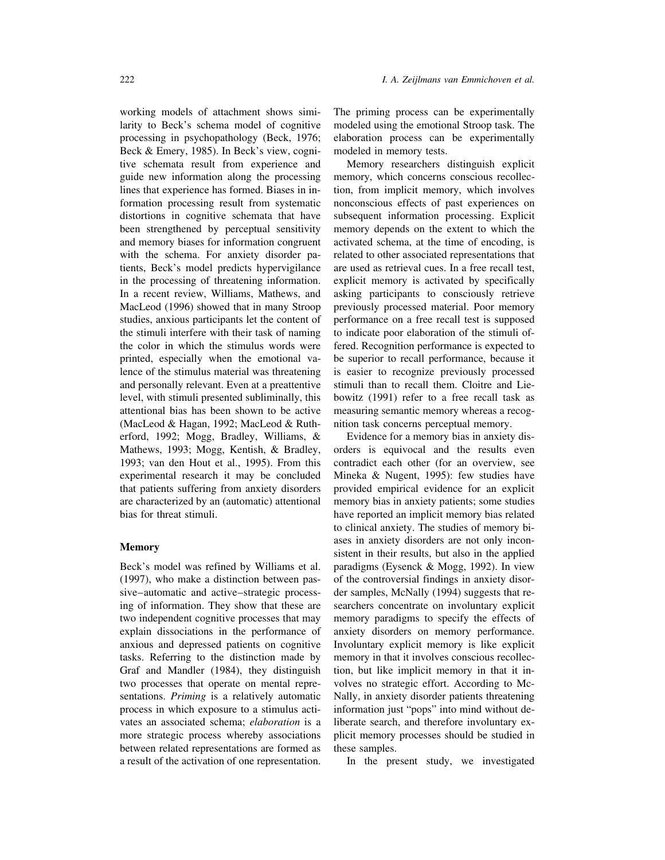working models of attachment shows simi- The priming process can be experimentally larity to Beck's schema model of cognitive modeled using the emotional Stroop task. The processing in psychopathology (Beck, 1976; elaboration process can be experimentally Beck & Emery, 1985). In Beck's view, cogni- modeled in memory tests. tive schemata result from experience and Memory researchers distinguish explicit guide new information along the processing memory, which concerns conscious recolleclines that experience has formed. Biases in in- tion, from implicit memory, which involves formation processing result from systematic nonconscious effects of past experiences on distortions in cognitive schemata that have subsequent information processing. Explicit been strengthened by perceptual sensitivity memory depends on the extent to which the and memory biases for information congruent activated schema, at the time of encoding, is with the schema. For anxiety disorder pa- related to other associated representations that tients, Beck's model predicts hypervigilance are used as retrieval cues. In a free recall test, in the processing of threatening information. explicit memory is activated by specifically In a recent review, Williams, Mathews, and asking participants to consciously retrieve MacLeod (1996) showed that in many Stroop previously processed material. Poor memory studies, anxious participants let the content of performance on a free recall test is supposed the stimuli interfere with their task of naming to indicate poor elaboration of the stimuli ofthe color in which the stimulus words were fered. Recognition performance is expected to printed, especially when the emotional va- be superior to recall performance, because it lence of the stimulus material was threatening is easier to recognize previously processed and personally relevant. Even at a preattentive stimuli than to recall them. Cloitre and Lielevel, with stimuli presented subliminally, this bowitz (1991) refer to a free recall task as attentional bias has been shown to be active measuring semantic memory whereas a recog- (MacLeod & Hagan, 1992; MacLeod & Ruth- nition task concerns perceptual memory. erford, 1992; Mogg, Bradley, Williams,  $\&$  Evidence for a memory bias in anxiety dis-Mathews, 1993; Mogg, Kentish, & Bradley, orders is equivocal and the results even 1993; van den Hout et al., 1995). From this contradict each other (for an overview, see experimental research it may be concluded Mineka & Nugent, 1995): few studies have that patients suffering from anxiety disorders provided empirical evidence for an explicit are characterized by an (automatic) attentional memory bias in anxiety patients; some studies bias for threat stimuli. have reported an implicit memory bias related

(1997), who make a distinction between pas- of the controversial findings in anxiety disorsive–automatic and active–strategic process- der samples, McNally (1994) suggests that reing of information. They show that these are searchers concentrate on involuntary explicit two independent cognitive processes that may memory paradigms to specify the effects of explain dissociations in the performance of anxiety disorders on memory performance. anxious and depressed patients on cognitive Involuntary explicit memory is like explicit tasks. Referring to the distinction made by memory in that it involves conscious recollec-Graf and Mandler (1984), they distinguish tion, but like implicit memory in that it intwo processes that operate on mental repre- volves no strategic effort. According to Mcsentations. *Priming* is a relatively automatic Nally, in anxiety disorder patients threatening process in which exposure to a stimulus acti- information just "pops" into mind without devates an associated schema; *elaboration* is a liberate search, and therefore involuntary exmore strategic process whereby associations plicit memory processes should be studied in between related representations are formed as these samples. a result of the activation of one representation. In the present study, we investigated

to clinical anxiety. The studies of memory biases in anxiety disorders are not only incon- **Memory** sistent in their results, but also in the applied Beck's model was refined by Williams et al. paradigms (Eysenck & Mogg, 1992). In view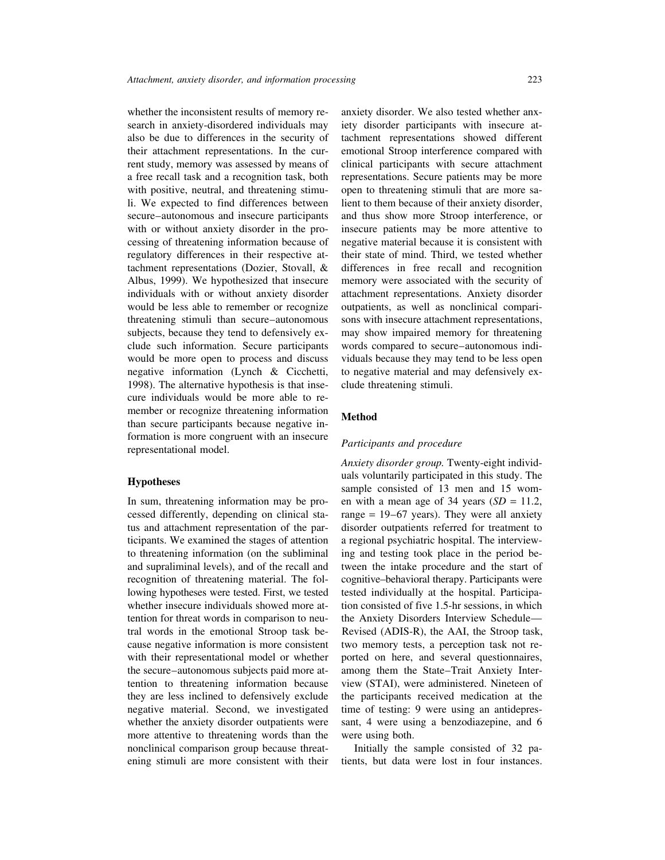search in anxiety-disordered individuals may iety disorder participants with insecure atalso be due to differences in the security of tachment representations showed different their attachment representations. In the cur- emotional Stroop interference compared with rent study, memory was assessed by means of clinical participants with secure attachment a free recall task and a recognition task, both representations. Secure patients may be more with positive, neutral, and threatening stimu- open to threatening stimuli that are more sali. We expected to find differences between lient to them because of their anxiety disorder, secure–autonomous and insecure participants and thus show more Stroop interference, or with or without anxiety disorder in the pro- insecure patients may be more attentive to cessing of threatening information because of negative material because it is consistent with regulatory differences in their respective at- their state of mind. Third, we tested whether tachment representations (Dozier, Stovall, & differences in free recall and recognition Albus, 1999). We hypothesized that insecure memory were associated with the security of individuals with or without anxiety disorder attachment representations. Anxiety disorder would be less able to remember or recognize outpatients, as well as nonclinical comparithreatening stimuli than secure–autonomous sons with insecure attachment representations, subjects, because they tend to defensively ex- may show impaired memory for threatening clude such information. Secure participants words compared to secure–autonomous indiwould be more open to process and discuss viduals because they may tend to be less open negative information (Lynch & Cicchetti, to negative material and may defensively ex-1998). The alternative hypothesis is that inse- clude threatening stimuli. cure individuals would be more able to remember or recognize threatening information<br>than secure participants because negative in-<br> $Method$ formation is more congruent with an insecure *Participants and procedure* representational model.

tention for threat words in comparison to neu- the Anxiety Disorders Interview Schedule more attentive to threatening words than the were using both. nonclinical comparison group because threat-<br>Initially the sample consisted of 32 pa-

whether the inconsistent results of memory re- anxiety disorder. We also tested whether anx-

*Anxiety disorder group.* Twenty-eight individuals voluntarily participated in this study. The **Hypotheses** sample consisted of 13 men and 15 wom-In sum, threatening information may be pro- en with a mean age of 34 years  $(SD = 11.2)$ , cessed differently, depending on clinical sta- range = 19–67 years). They were all anxiety tus and attachment representation of the par- disorder outpatients referred for treatment to ticipants. We examined the stages of attention a regional psychiatric hospital. The interviewto threatening information (on the subliminal ing and testing took place in the period beand supraliminal levels), and of the recall and tween the intake procedure and the start of recognition of threatening material. The fol- cognitive–behavioral therapy. Participants were lowing hypotheses were tested. First, we tested tested individually at the hospital. Participawhether insecure individuals showed more at-<br>tion consisted of five 1.5-hr sessions, in which tral words in the emotional Stroop task be- Revised (ADIS-R), the AAI, the Stroop task, cause negative information is more consistent two memory tests, a perception task not rewith their representational model or whether ported on here, and several questionnaires, the secure–autonomous subjects paid more at- among them the State–Trait Anxiety Intertention to threatening information because view (STAI), were administered. Nineteen of they are less inclined to defensively exclude the participants received medication at the negative material. Second, we investigated time of testing: 9 were using an antidepreswhether the anxiety disorder outpatients were sant, 4 were using a benzodiazepine, and 6

ening stimuli are more consistent with their tients, but data were lost in four instances.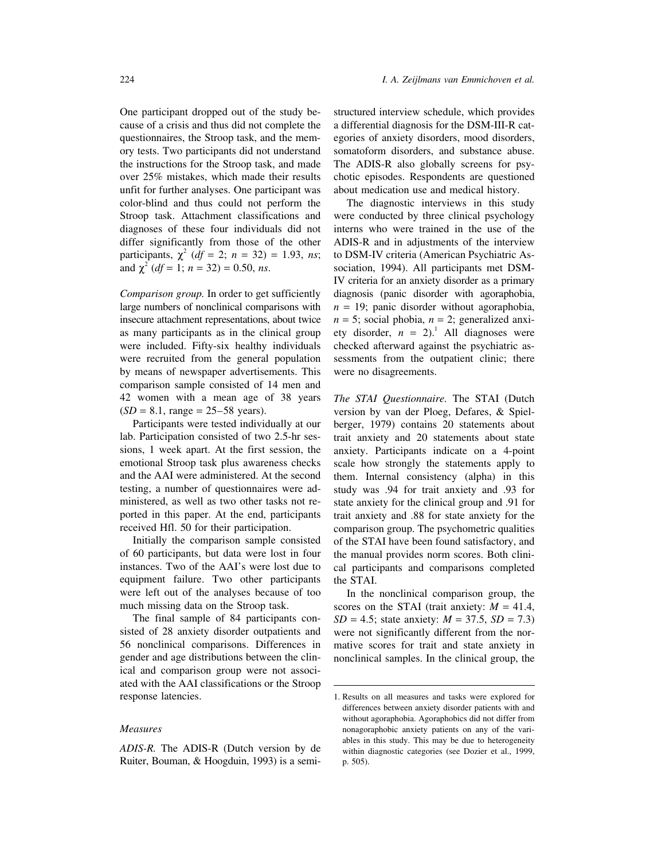One participant dropped out of the study be- structured interview schedule, which provides cause of a crisis and thus did not complete the a differential diagnosis for the DSM-III-R catquestionnaires, the Stroop task, and the mem- egories of anxiety disorders, mood disorders, ory tests. Two participants did not understand somatoform disorders, and substance abuse. the instructions for the Stroop task, and made The ADIS-R also globally screens for psyover 25% mistakes, which made their results chotic episodes. Respondents are questioned unfit for further analyses. One participant was about medication use and medical history. color-blind and thus could not perform the The diagnostic interviews in this study Stroop task. Attachment classifications and were conducted by three clinical psychology diagnoses of these four individuals did not interns who were trained in the use of the differ significantly from those of the other ADIS-R and in adjustments of the interview participants,  $\chi^2$  ( $df = 2$ ;  $n = 32$ ) = 1.93, *ns*; to DSM-IV criteria (American Psychiatric Asand  $\chi^2$  (*df* = 1; *n* = 32) = 0.50, *ns*. sociation, 1994). All participants met DSM-

large numbers of nonclinical comparisons with  $n = 19$ ; panic disorder without agoraphobia, insecure attachment representations, about twice  $n = 5$ ; social phobia,  $n = 2$ ; generalized anxias many participants as in the clinical group ety disorder,  $n = 2$ ).<sup>1</sup> All diagnoses were were included. Fifty-six healthy individuals checked afterward against the psychiatric aswere recruited from the general population sessments from the outpatient clinic; there by means of newspaper advertisements. This were no disagreements. comparison sample consisted of 14 men and 42 women with a mean age of 38 years *The STAI Questionnaire*. The STAI (Dutch  $(SD = 8.1$ , range = 25–58 years). version by van der Ploeg, Defares, & Spiel-

lab. Participation consisted of two 2.5-hr ses- trait anxiety and 20 statements about state sions, 1 week apart. At the first session, the anxiety. Participants indicate on a 4-point emotional Stroop task plus awareness checks scale how strongly the statements apply to and the AAI were administered. At the second them. Internal consistency (alpha) in this testing, a number of questionnaires were ad- study was .94 for trait anxiety and .93 for ministered, as well as two other tasks not re- state anxiety for the clinical group and .91 for ported in this paper. At the end, participants trait anxiety and .88 for state anxiety for the

of 60 participants, but data were lost in four the manual provides norm scores. Both cliniinstances. Two of the AAI's were lost due to cal participants and comparisons completed equipment failure. Two other participants the STAI. were left out of the analyses because of too In the nonclinical comparison group, the much missing data on the Stroop task. scores on the STAI (trait anxiety:  $M = 41.4$ ,

sisted of 28 anxiety disorder outpatients and were not significantly different from the nor-56 nonclinical comparisons. Differences in mative scores for trait and state anxiety in gender and age distributions between the clin- nonclinical samples. In the clinical group, the ical and comparison group were not associated with the AAI classifications or the Stroop response latencies. 1. Results on all measures and tasks were explored for

Ruiter, Bouman, & Hoogduin, 1993) is a semi-<br>p. 505).

IV criteria for an anxiety disorder as a primary *Comparison group.* In order to get sufficiently diagnosis (panic disorder with agoraphobia,

version by van der Ploeg, Defares, & Spiel-Participants were tested individually at our berger, 1979) contains 20 statements about received Hfl. 50 for their participation. comparison group. The psychometric qualities Initially the comparison sample consisted of the STAI have been found satisfactory, and

The final sample of 84 participants con- $SD = 4.5$ ; state anxiety:  $M = 37.5$ ,  $SD = 7.3$ )

differences between anxiety disorder patients with and without agoraphobia. Agoraphobics did not differ from *Measures* nonagoraphobic anxiety patients on any of the variables in this study. This may be due to heterogeneity *ADIS-R.* The ADIS-R (Dutch version by de within diagnostic categories (see Dozier et al., 1999,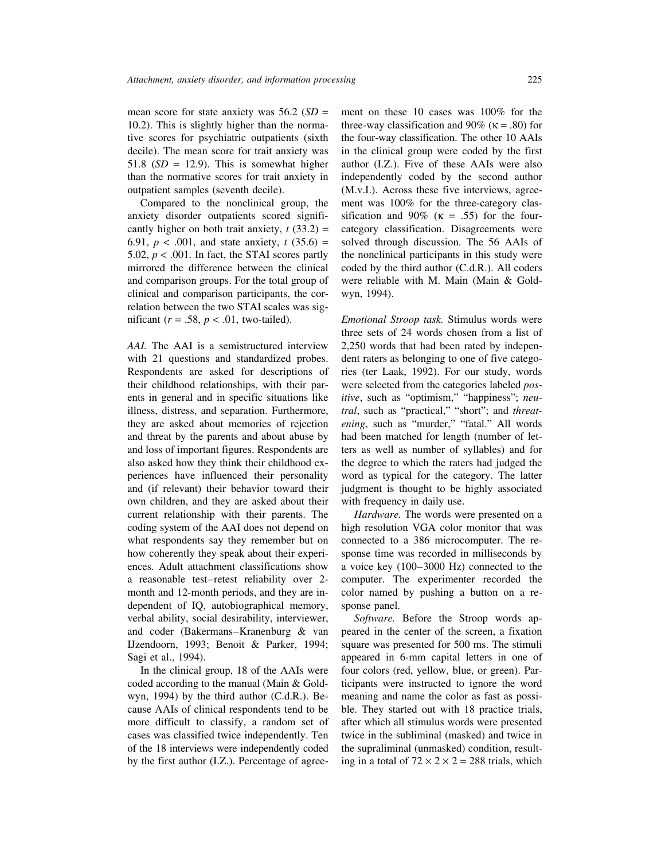mean score for state anxiety was  $56.2$  ( $SD =$  ment on these 10 cases was 100% for the 10.2). This is slightly higher than the norma- three-way classification and  $90\%$  ( $\kappa = .80$ ) for tive scores for psychiatric outpatients (sixth the four-way classification. The other 10 AAIs decile). The mean score for trait anxiety was in the clinical group were coded by the first 51.8  $(SD = 12.9)$ . This is somewhat higher author  $(I.Z.)$ . Five of these AAIs were also than the normative scores for trait anxiety in independently coded by the second author

anxiety disorder outpatients scored signifi- sification and  $90\%$  ( $\kappa = .55$ ) for the fourcantly higher on both trait anxiety, *t* (33.2) = category classification. Disagreements were 6.91,  $p < .001$ , and state anxiety,  $t(35.6) =$  solved through discussion. The 56 AAIs of 5.02,  $p < 0.001$ . In fact, the STAI scores partly the nonclinical participants in this study were mirrored the difference between the clinical coded by the third author (C.d.R.). All coders and comparison groups. For the total group of were reliable with M. Main (Main & Goldclinical and comparison participants, the cor- wyn, 1994). relation between the two STAI scales was significant (*r* = .58, *p* < .01, two-tailed). *Emotional Stroop task.* Stimulus words were

with 21 questions and standardized probes. dent raters as belonging to one of five catego-Respondents are asked for descriptions of ries (ter Laak, 1992). For our study, words their childhood relationships, with their par- were selected from the categories labeled *pos*ents in general and in specific situations like *itive*, such as "optimism," "happiness"; *neu*illness, distress, and separation. Furthermore, *tral*, such as "practical," "short"; and *threat*they are asked about memories of rejection *ening*, such as "murder," "fatal." All words and threat by the parents and about abuse by had been matched for length (number of letand loss of important figures. Respondents are ters as well as number of syllables) and for also asked how they think their childhood ex- the degree to which the raters had judged the periences have influenced their personality word as typical for the category. The latter and (if relevant) their behavior toward their judgment is thought to be highly associated own children, and they are asked about their with frequency in daily use. current relationship with their parents. The *Hardware.* The words were presented on a coding system of the AAI does not depend on high resolution VGA color monitor that was what respondents say they remember but on connected to a 386 microcomputer. The rehow coherently they speak about their experi- sponse time was recorded in milliseconds by ences. Adult attachment classifications show a voice key (100–3000 Hz) connected to the a reasonable test–retest reliability over 2- computer. The experimenter recorded the month and 12-month periods, and they are in- color named by pushing a button on a redependent of IQ, autobiographical memory, sponse panel. verbal ability, social desirability, interviewer, *Software.* Before the Stroop words apand coder (Bakermans–Kranenburg & van peared in the center of the screen, a fixation IJzendoorn, 1993; Benoit & Parker, 1994; square was presented for 500 ms. The stimuli Sagi et al., 1994). appeared in 6-mm capital letters in one of

coded according to the manual (Main & Gold- ticipants were instructed to ignore the word wyn, 1994) by the third author (C.d.R.). Be- meaning and name the color as fast as possicause AAIs of clinical respondents tend to be ble. They started out with 18 practice trials, more difficult to classify, a random set of after which all stimulus words were presented cases was classified twice independently. Ten twice in the subliminal (masked) and twice in of the 18 interviews were independently coded the supraliminal (unmasked) condition, resultby the first author (I.Z.). Percentage of agree- ing in a total of  $72 \times 2 \times 2 = 288$  trials, which

outpatient samples (seventh decile). (M.v.I.). Across these five interviews, agree-Compared to the nonclinical group, the ment was 100% for the three-category clas-

three sets of 24 words chosen from a list of *AAI.* The AAI is a semistructured interview 2,250 words that had been rated by indepen-

In the clinical group, 18 of the AAIs were four colors (red, yellow, blue, or green). Par-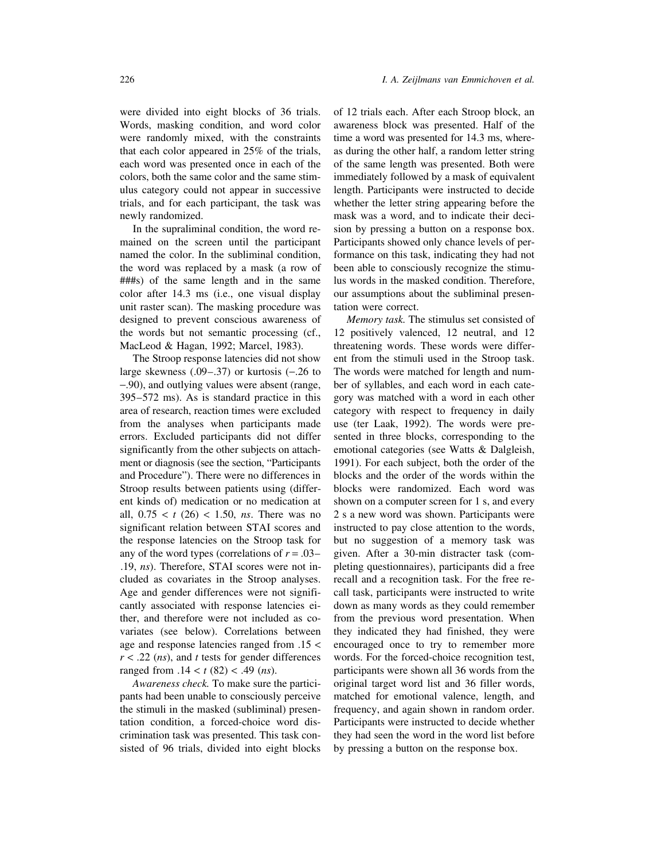Words, masking condition, and word color awareness block was presented. Half of the were randomly mixed, with the constraints time a word was presented for 14.3 ms, wherethat each color appeared in 25% of the trials, as during the other half, a random letter string each word was presented once in each of the of the same length was presented. Both were colors, both the same color and the same stim- immediately followed by a mask of equivalent ulus category could not appear in successive length. Participants were instructed to decide trials, and for each participant, the task was whether the letter string appearing before the newly randomized. The mask was a word, and to indicate their deci-

mained on the screen until the participant Participants showed only chance levels of pernamed the color. In the subliminal condition, formance on this task, indicating they had not the word was replaced by a mask (a row of been able to consciously recognize the stimu- ###s) of the same length and in the same lus words in the masked condition. Therefore, color after 14.3 ms (i.e., one visual display our assumptions about the subliminal presenunit raster scan). The masking procedure was tation were correct. designed to prevent conscious awareness of *Memory task.* The stimulus set consisted of the words but not semantic processing (cf., 12 positively valenced, 12 neutral, and 12 MacLeod & Hagan, 1992; Marcel, 1983). threatening words. These words were differ-

large skewness (.09–.37) or kurtosis (−.26 to The words were matched for length and num- −.90), and outlying values were absent (range, ber of syllables, and each word in each cate-395–572 ms). As is standard practice in this gory was matched with a word in each other area of research, reaction times were excluded category with respect to frequency in daily from the analyses when participants made use (ter Laak, 1992). The words were preerrors. Excluded participants did not differ sented in three blocks, corresponding to the significantly from the other subjects on attach- emotional categories (see Watts & Dalgleish, ment or diagnosis (see the section, "Participants 1991). For each subject, both the order of the and Procedure"). There were no differences in blocks and the order of the words within the Stroop results between patients using (differ- blocks were randomized. Each word was ent kinds of) medication or no medication at shown on a computer screen for 1 s, and every all,  $0.75 < t$  (26)  $< 1.50$ , *ns*. There was no 2 s a new word was shown. Participants were significant relation between STAI scores and instructed to pay close attention to the words, the response latencies on the Stroop task for but no suggestion of a memory task was any of the word types (correlations of  $r = .03-$  given. After a 30-min distracter task (com-.19, *ns*). Therefore, STAI scores were not in- pleting questionnaires), participants did a free cluded as covariates in the Stroop analyses. recall and a recognition task. For the free re-Age and gender differences were not signifi- call task, participants were instructed to write cantly associated with response latencies ei- down as many words as they could remember ther, and therefore were not included as co- from the previous word presentation. When variates (see below). Correlations between they indicated they had finished, they were age and response latencies ranged from .15 < encouraged once to try to remember more *r* < .22 (*ns*), and *t* tests for gender differences words. For the forced-choice recognition test, ranged from  $.14 < t$  (82) <  $.49$  (*ns*). participants were shown all 36 words from the

pants had been unable to consciously perceive matched for emotional valence, length, and the stimuli in the masked (subliminal) presen- frequency, and again shown in random order. tation condition, a forced-choice word dis- Participants were instructed to decide whether crimination task was presented. This task con- they had seen the word in the word list before sisted of 96 trials, divided into eight blocks by pressing a button on the response box.

were divided into eight blocks of 36 trials. of 12 trials each. After each Stroop block, an In the supraliminal condition, the word re- sion by pressing a button on a response box.

The Stroop response latencies did not show ent from the stimuli used in the Stroop task. *Awareness check.* To make sure the partici- original target word list and 36 filler words,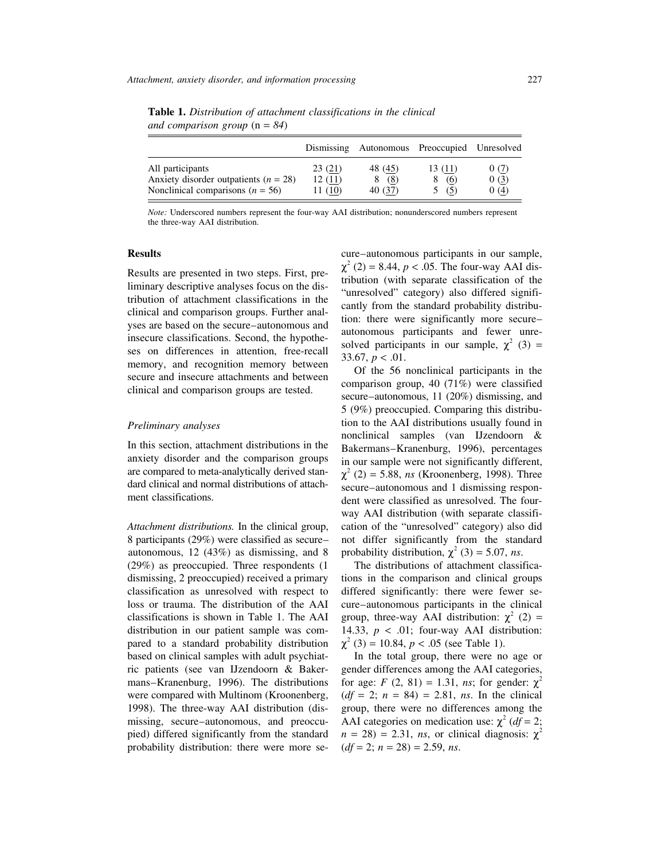|                                         | Dismissing | Autonomous Preoccupied Unresolved |        |      |
|-----------------------------------------|------------|-----------------------------------|--------|------|
| All participants                        | 23(21)     | 48 (45)                           | 13(11) | 0(7) |
| Anxiety disorder outpatients $(n = 28)$ | 12(11)     | 8(8)                              | 8(6)   | 0(3) |
| Nonclinical comparisons $(n = 56)$      | 11 (10)    | 40 (37)                           | 5(5)   | 0(4) |

**Table 1.** *Distribution of attachment classifications in the clinical and comparison group* (n = *84*)

*Note:* Underscored numbers represent the four-way AAI distribution; nonunderscored numbers represent the three-way AAI distribution.

Results are presented in two steps. First, pre-<br>
liminary descriptive analyses focus on the dis-<br>
liminary descriptive analyses focus on the dis-<br>
tribution (with separate classification of the<br>
tribution of attachment cl

dard clinical and normal distributions of attach-<br>
secure–autonomous and 1 dismissing respon-<br>
dent were closeified as unresolved. The four

8 participants (29%) were classified as secure– not differ significantly from the standard autonomous, 12 (43%) as dismissing, and 8 probability distribution,  $\chi^2$  (3) = 5.07, *ns*. (29%) as preoccupied. Three respondents (1 The distributions of attachment classificaclassification as unresolved with respect to differed significantly: there were fewer seclassifications is shown in Table 1. The AAI group, three-way AAI distribution:  $\chi^2$  (2) = distribution in our patient sample was com- 14.33,  $p < .01$ ; four-way AAI distribution: pared to a standard probability distribution  $\chi^2$  (3) = 10.84, *p* < .05 (see Table 1). based on clinical samples with adult psychiat- In the total group, there were no age or ric patients (see van IJzendoorn & Baker- gender differences among the AAI categories, mans–Kranenburg, 1996). The distributions for age:  $F(2, 81) = 1.31$ , *ns*; for gender:  $\chi^2$ were compared with Multinom (Kroonenberg,  $(df = 2; n = 84) = 2.81$ , *ns*. In the clinical 1998). The three-way AAI distribution (dis- group, there were no differences among the missing, secure–autonomous, and preoccu- AAI categories on medication use:  $\chi^2$  (*df* = 2; pied) differed significantly from the standard  $n = 28$  = 2.31, *ns*, or clinical diagnosis:  $\chi^2$ probability distribution: there were more se-  $(df = 2; n = 28) = 2.59$ , *ns*.

**Results** cure–autonomous participants in our sample,

5 (9%) preoccupied. Comparing this distribu-*Preliminary analyses* tion to the AAI distributions usually found in<br>monclinical samples (van Hzendoorn & nonclinical samples (van IJzendoorn In this section, attachment distributions in the Bakermans–Kranenburg, 1996), percentages anxiety disorder and the comparison groups in our sample were not significantly different anxiety disorder and the comparison groups in our sample were not significantly different, are compared to meta-analytically derived stan-<br>dard clinical and normal distributions of attach-<br>secure-autonomous and 1 dismissi dent were classified as unresolved. The fourway AAI distribution (with separate classifi-*Attachment distributions.* In the clinical group, cation of the "unresolved" category) also did

dismissing, 2 preoccupied) received a primary tions in the comparison and clinical groups loss or trauma. The distribution of the AAI cure–autonomous participants in the clinical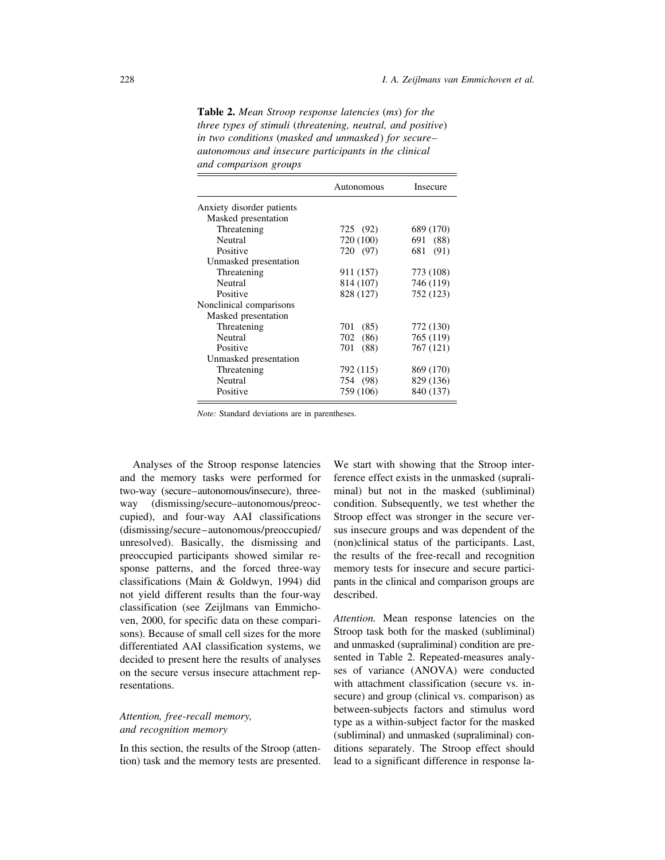|                           | Autonomous  | Insecure    |
|---------------------------|-------------|-------------|
| Anxiety disorder patients |             |             |
| Masked presentation       |             |             |
| Threatening               | 725 (92)    | 689 (170)   |
| Neutral                   | 720 (100)   | 691 (88)    |
| Positive                  | 720 (97)    | 681<br>(91) |
| Unmasked presentation     |             |             |
| Threatening               | 911 (157)   | 773 (108)   |
| Neutral                   | 814 (107)   | 746 (119)   |
| Positive                  | 828 (127)   | 752 (123)   |
| Nonclinical comparisons   |             |             |
| Masked presentation       |             |             |
| Threatening               | 701<br>(85) | 772 (130)   |
| Neutral                   | 702<br>(86) | 765 (119)   |
| Positive                  | 701<br>(88) | 767 (121)   |
| Unmasked presentation     |             |             |
| Threatening               | 792 (115)   | 869 (170)   |
| Neutral                   | 754 (98)    | 829 (136)   |
| Positive                  | 759 (106)   | 840 (137)   |

*Note:* Standard deviations are in parentheses.

and the memory tasks were performed for ference effect exists in the unmasked (supralitwo-way (secure–autonomous/insecure), three- minal) but not in the masked (subliminal) way (dismissing/secure–autonomous/preoc- condition. Subsequently, we test whether the cupied), and four-way AAI classifications Stroop effect was stronger in the secure ver- (dismissing/secure–autonomous/preoccupied/ sus insecure groups and was dependent of the unresolved). Basically, the dismissing and (non)clinical status of the participants. Last, preoccupied participants showed similar re- the results of the free-recall and recognition sponse patterns, and the forced three-way memory tests for insecure and secure particiclassifications (Main & Goldwyn, 1994) did pants in the clinical and comparison groups are not yield different results than the four-way described. classification (see Zeijlmans van Emmichoven, 2000, for specific data on these compari- *Attention.* Mean response latencies on the sons). Because of small cell sizes for the more<br>differentiated AAI classification systems, we and unmasked (supraliminal) condition are predifferentiated AAI classification systems, we decided to present here the results of analyses sented in Table 2. Repeated-measures analy-<br>on the secure versus insecure attachment reparations of variance (ANOVA) were conducted on the secure versus insecure attachment representations. The secure vector with attachment classification (secure vs. in-

tion) task and the memory tests are presented. lead to a significant difference in response la-

Analyses of the Stroop response latencies We start with showing that the Stroop inter-

secure) and group (clinical vs. comparison) as Attention, *free-recall memory*,<br> *Attention, free-recall memory*<br> *Attention, free-recall memory*<br> *Attention, free-recall memory*<br> *Attention, free-recall memory*<br> *Attention, free-recall memory*<br> *Attention, free-recall* In this section, the results of the Stroop (atten- ditions separately. The Stroop effect should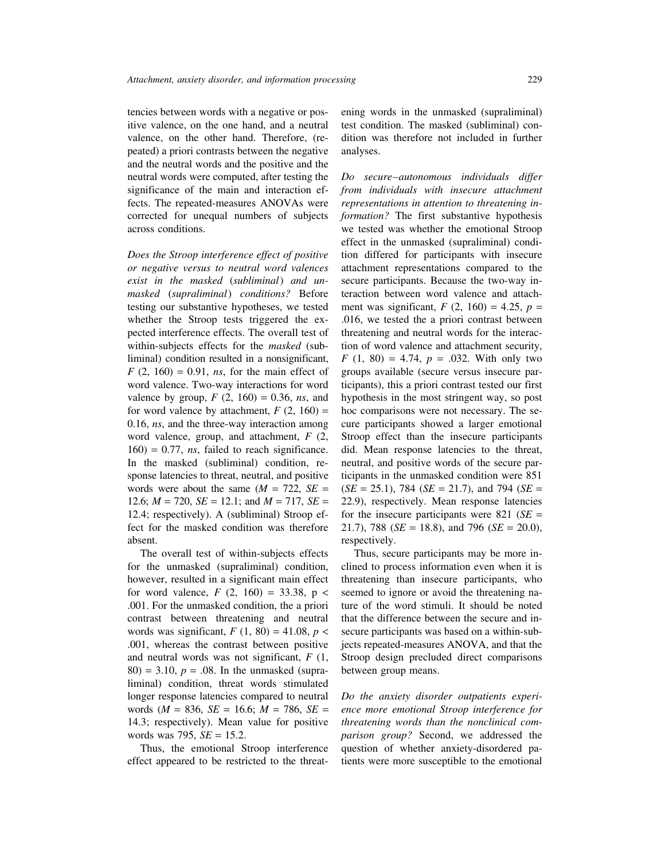tencies between words with a negative or pos- ening words in the unmasked (supraliminal) itive valence, on the one hand, and a neutral test condition. The masked (subliminal) convalence, on the other hand. Therefore, (re- dition was therefore not included in further peated) a priori contrasts between the negative analyses. and the neutral words and the positive and the neutral words were computed, after testing the *Do secure–autonomous individuals differ* significance of the main and interaction ef- *from individuals with insecure attachment* fects. The repeated-measures ANOVAs were *representations in attention to threatening in*corrected for unequal numbers of subjects *formation?* The first substantive hypothesis across conditions. we tested was whether the emotional Stroop

*or negative versus to neutral word valences* attachment representations compared to the *exist in the masked* (*subliminal*) *and un-* secure participants. Because the two-way in*masked* (*supraliminal*) *conditions?* Before teraction between word valence and attachtesting our substantive hypotheses, we tested ment was significant,  $F(2, 160) = 4.25$ ,  $p =$ whether the Stroop tests triggered the ex- .016, we tested the a priori contrast between pected interference effects. The overall test of threatening and neutral words for the interacwithin-subjects effects for the *masked* (sub- tion of word valence and attachment security, liminal) condition resulted in a nonsignificant,  $F(1, 80) = 4.74$ ,  $p = .032$ . With only two  $F(2, 160) = 0.91$ , *ns*, for the main effect of groups available (secure versus insecure parword valence. Two-way interactions for word ticipants), this a priori contrast tested our first valence by group,  $F(2, 160) = 0.36$ , *ns*, and hypothesis in the most stringent way, so post for word valence by attachment,  $F(2, 160) =$  hoc comparisons were not necessary. The se-0.16, *ns*, and the three-way interaction among cure participants showed a larger emotional word valence, group, and attachment, *F* (2, Stroop effect than the insecure participants 160) = 0.77, *ns*, failed to reach significance. did. Mean response latencies to the threat, In the masked (subliminal) condition, re- neutral, and positive words of the secure parsponse latencies to threat, neutral, and positive ticipants in the unmasked condition were 851 words were about the same (*M* = 722, *SE* = (*SE* = 25.1), 784 (*SE* = 21.7), and 794 (*SE* = 12.6;  $M = 720$ ,  $SE = 12.1$ ; and  $M = 717$ ,  $SE = 22.9$ ), respectively. Mean response latencies 12.4; respectively). A (subliminal) Stroop ef- for the insecure participants were 821 (*SE* = fect for the masked condition was therefore 21.7), 788 ( $SE = 18.8$ ), and 796 ( $SE = 20.0$ ), absent. The respectively.

for the unmasked (supraliminal) condition, clined to process information even when it is however, resulted in a significant main effect threatening than insecure participants, who for word valence,  $F(2, 160) = 33.38$ ,  $p \lt$  seemed to ignore or avoid the threatening na-.001. For the unmasked condition, the a priori ture of the word stimuli. It should be noted contrast between threatening and neutral that the difference between the secure and inwords was significant,  $F(1, 80) = 41.08$ ,  $p \lt$  secure participants was based on a within-sub-.001, whereas the contrast between positive jects repeated-measures ANOVA, and that the and neutral words was not significant, *F* (1, Stroop design precluded direct comparisons  $80 = 3.10$ ,  $p = .08$ . In the unmasked (supra- between group means. liminal) condition, threat words stimulated longer response latencies compared to neutral *Do the anxiety disorder outpatients experi*words (*M* = 836, *SE* = 16.6; *M* = 786, *SE* = *ence more emotional Stroop interference for*

effect appeared to be restricted to the threat- tients were more susceptible to the emotional

effect in the unmasked (supraliminal) condi-*Does the Stroop interference effect of positive* tion differed for participants with insecure

The overall test of within-subjects effects Thus, secure participants may be more in-

14.3; respectively). Mean value for positive *threatening words than the nonclinical com*parison group? Second, we addressed the Thus, the emotional Stroop interference question of whether anxiety-disordered pa-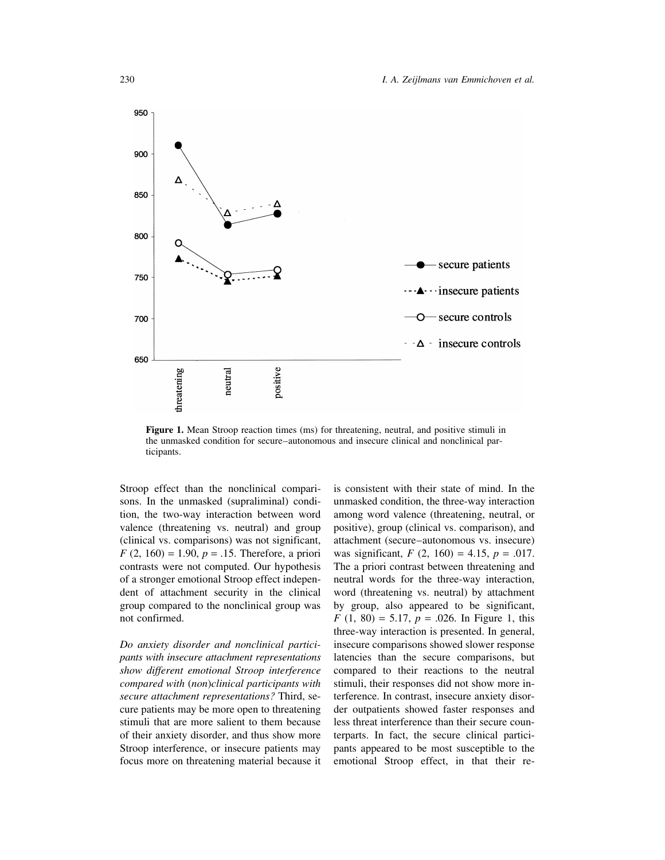

**Figure 1.** Mean Stroop reaction times (ms) for threatening, neutral, and positive stimuli in the unmasked condition for secure–autonomous and insecure clinical and nonclinical participants.

Stroop effect than the nonclinical compari- is consistent with their state of mind. In the sons. In the unmasked (supraliminal) condi- unmasked condition, the three-way interaction tion, the two-way interaction between word among word valence (threatening, neutral, or valence (threatening vs. neutral) and group positive), group (clinical vs. comparison), and (clinical vs. comparisons) was not significant, attachment (secure–autonomous vs. insecure)  $F(2, 160) = 1.90, p = .15$ . Therefore, a priori was significant,  $F(2, 160) = 4.15, p = .017$ . contrasts were not computed. Our hypothesis The a priori contrast between threatening and of a stronger emotional Stroop effect indepen- neutral words for the three-way interaction, dent of attachment security in the clinical word (threatening vs. neutral) by attachment group compared to the nonclinical group was by group, also appeared to be significant, not confirmed.  $F(1, 80) = 5.17, p = .026$ . In Figure 1, this three-way interaction is presented. In general, *Do anxiety disorder and nonclinical partici-* insecure comparisons showed slower response *pants with insecure attachment representations* latencies than the secure comparisons, but *show different emotional Stroop interference* compared to their reactions to the neutral *compared with* (*non*)*clinical participants with* stimuli, their responses did not show more in*secure attachment representations?* Third, se- terference. In contrast, insecure anxiety disorcure patients may be more open to threatening der outpatients showed faster responses and stimuli that are more salient to them because less threat interference than their secure counof their anxiety disorder, and thus show more terparts. In fact, the secure clinical partici-Stroop interference, or insecure patients may pants appeared to be most susceptible to the focus more on threatening material because it emotional Stroop effect, in that their re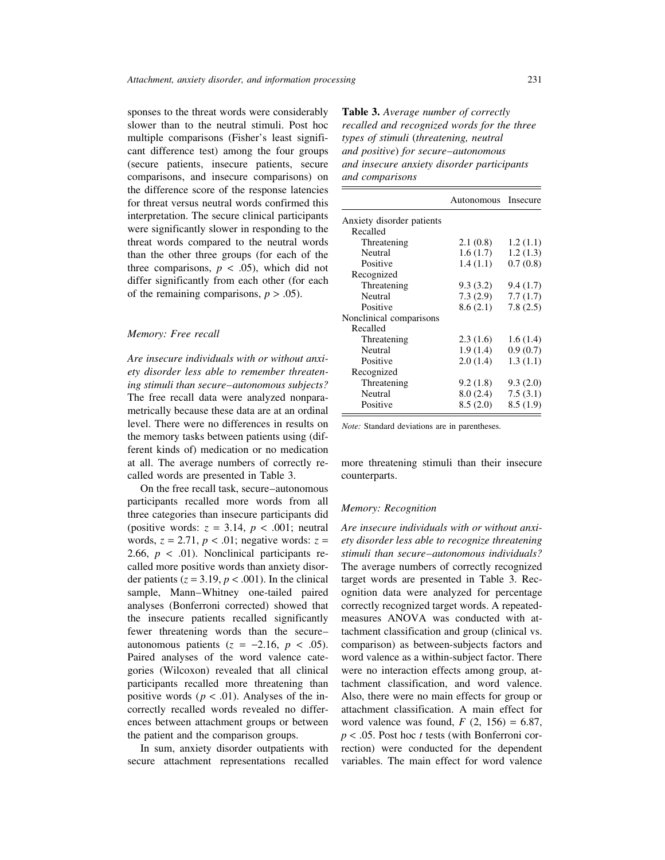sponses to the threat words were considerably **Table 3.** *Average number of correctly* slower than to the neutral stimuli. Post hoc *recalled and recognized words for the three* multiple comparisons (Fisher's least signifi- *types of stimuli* (*threatening, neutral* cant difference test) among the four groups *and positive*) *for secure–autonomous* (secure patients, insecure patients, secure *and insecure anxiety disorder participants* comparisons, and insecure comparisons) on *and comparisons* the difference score of the response latencies for threat versus neutral words confirmed this interpretation. The secure clinical participants were significantly slower in responding to the threat words compared to the neutral words than the other three groups (for each of the<br>three comparisons,  $p < .05$ ), which did not<br>differ significantly from each other (for each<br>of the remaining comparisons,  $p > .05$ ).

## Memory: Free recall

Are insecure individuals with or without anxi*ety disorder less able to remember threaten*ing stimuli than secure-autonomous subjects?<br>The free recall data were analyzed nonpara-<br>metrically because these data are at an ordinal level. There were no differences in results on *Note:* Standard deviations are in parentheses. the memory tasks between patients using (different kinds of) medication or no medication at all. The average numbers of correctly re- more threatening stimuli than their insecure called words are presented in Table 3. counterparts.

On the free recall task, secure–autonomous participants recalled more words from all *Memory: Recognition* three categories than insecure participants did (positive words:  $z = 3.14$ ,  $p < .001$ ; neutral *Are insecure individuals with or without anxi*words, *z* = 2.71, *p* < .01; negative words: *z* = *ety disorder less able to recognize threatening* 2.66, *p* < .01). Nonclinical participants re- *stimuli than secure–autonomous individuals?* called more positive words than anxiety disor- The average numbers of correctly recognized der patients  $(z = 3.19, p < .001)$ . In the clinical target words are presented in Table 3. Recsample, Mann–Whitney one-tailed paired ognition data were analyzed for percentage analyses (Bonferroni corrected) showed that correctly recognized target words. A repeatedthe insecure patients recalled significantly measures ANOVA was conducted with atfewer threatening words than the secure– tachment classification and group (clinical vs. autonomous patients  $(z = -2.16, p < .05)$ . comparison) as between-subjects factors and Paired analyses of the word valence cate- word valence as a within-subject factor. There gories (Wilcoxon) revealed that all clinical were no interaction effects among group, atparticipants recalled more threatening than tachment classification, and word valence. positive words ( $p < .01$ ). Analyses of the in-<br>Also, there were no main effects for group or correctly recalled words revealed no differ- attachment classification. A main effect for ences between attachment groups or between word valence was found,  $F(2, 156) = 6.87$ , the patient and the comparison groups.  $p < .05$ . Post hoc *t* tests (with Bonferroni cor-

secure attachment representations recalled variables. The main effect for word valence

|                           | Autonomous | Insecure |
|---------------------------|------------|----------|
| Anxiety disorder patients |            |          |
| Recalled                  |            |          |
| Threatening               | 2.1(0.8)   | 1.2(1.1) |
| Neutral                   | 1.6(1.7)   | 1.2(1.3) |
| Positive                  | 1.4(1.1)   | 0.7(0.8) |
| Recognized                |            |          |
| Threatening               | 9.3(3.2)   | 9.4(1.7) |
| Neutral                   | 7.3(2.9)   | 7.7(1.7) |
| Positive                  | 8.6(2.1)   | 7.8(2.5) |
| Nonclinical comparisons   |            |          |
| Recalled                  |            |          |
| Threatening               | 2.3(1.6)   | 1.6(1.4) |
| Neutral                   | 1.9(1.4)   | 0.9(0.7) |
| Positive                  | 2.0(1.4)   | 1.3(1.1) |
| Recognized                |            |          |
| Threatening               | 9.2(1.8)   | 9.3(2.0) |
| Neutral                   | 8.0(2.4)   | 7.5(3.1) |
| Positive                  | 8.5(2.0)   | 8.5(1.9) |

In sum, anxiety disorder outpatients with rection) were conducted for the dependent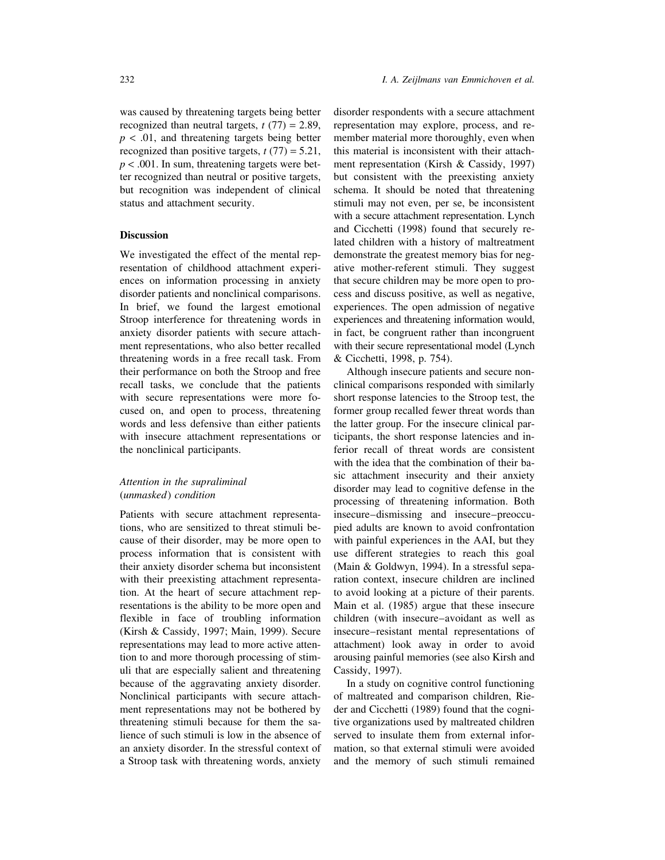recognized than neutral targets,  $t(77) = 2.89$ , representation may explore, process, and re $p < .01$ , and threatening targets being better member material more thoroughly, even when recognized than positive targets,  $t$  (77) = 5.21, this material is inconsistent with their attach $p < .001$ . In sum, threatening targets were bet- ment representation (Kirsh & Cassidy, 1997) ter recognized than neutral or positive targets, but consistent with the preexisting anxiety but recognition was independent of clinical schema. It should be noted that threatening

resentation of childhood attachment experi- ative mother-referent stimuli. They suggest ences on information processing in anxiety that secure children may be more open to prodisorder patients and nonclinical comparisons. cess and discuss positive, as well as negative, In brief, we found the largest emotional experiences. The open admission of negative Stroop interference for threatening words in experiences and threatening information would, anxiety disorder patients with secure attach- in fact, be congruent rather than incongruent ment representations, who also better recalled with their secure representational model (Lynch threatening words in a free recall task. From & Cicchetti, 1998, p. 754). their performance on both the Stroop and free Although insecure patients and secure nonrecall tasks, we conclude that the patients clinical comparisons responded with similarly with secure representations were more fo- short response latencies to the Stroop test, the cused on, and open to process, threatening former group recalled fewer threat words than words and less defensive than either patients the latter group. For the insecure clinical parwith insecure attachment representations or ticipants, the short response latencies and inthe nonclinical participants. ferior recall of threat words are consistent

tions, who are sensitized to threat stimuli be- pied adults are known to avoid confrontation cause of their disorder, may be more open to with painful experiences in the AAI, but they process information that is consistent with use different strategies to reach this goal their anxiety disorder schema but inconsistent (Main & Goldwyn, 1994). In a stressful sepawith their preexisting attachment representa- ration context, insecure children are inclined tion. At the heart of secure attachment rep- to avoid looking at a picture of their parents. resentations is the ability to be more open and Main et al. (1985) argue that these insecure flexible in face of troubling information children (with insecure–avoidant as well as (Kirsh & Cassidy, 1997; Main, 1999). Secure insecure–resistant mental representations of representations may lead to more active atten- attachment) look away in order to avoid tion to and more thorough processing of stim- arousing painful memories (see also Kirsh and uli that are especially salient and threatening Cassidy, 1997). because of the aggravating anxiety disorder. In a study on cognitive control functioning Nonclinical participants with secure attach- of maltreated and comparison children, Riement representations may not be bothered by der and Cicchetti (1989) found that the cognithreatening stimuli because for them the sa- tive organizations used by maltreated children lience of such stimuli is low in the absence of served to insulate them from external inforan anxiety disorder. In the stressful context of mation, so that external stimuli were avoided a Stroop task with threatening words, anxiety and the memory of such stimuli remained

was caused by threatening targets being better disorder respondents with a secure attachment status and attachment security. stimuli may not even, per se, be inconsistent with a secure attachment representation. Lynch **Discussion** and Cicchetti (1998) found that securely re-<br>lated children with a history of maltreatment We investigated the effect of the mental rep- demonstrate the greatest memory bias for neg-

with the idea that the combination of their ba-*Attention in the supraliminal* sic attachment insecurity and their anxiety disorder may lead to cognitive defense in the processing of threatening information. Both Patients with secure attachment representa- insecure–dismissing and insecure–preoccu-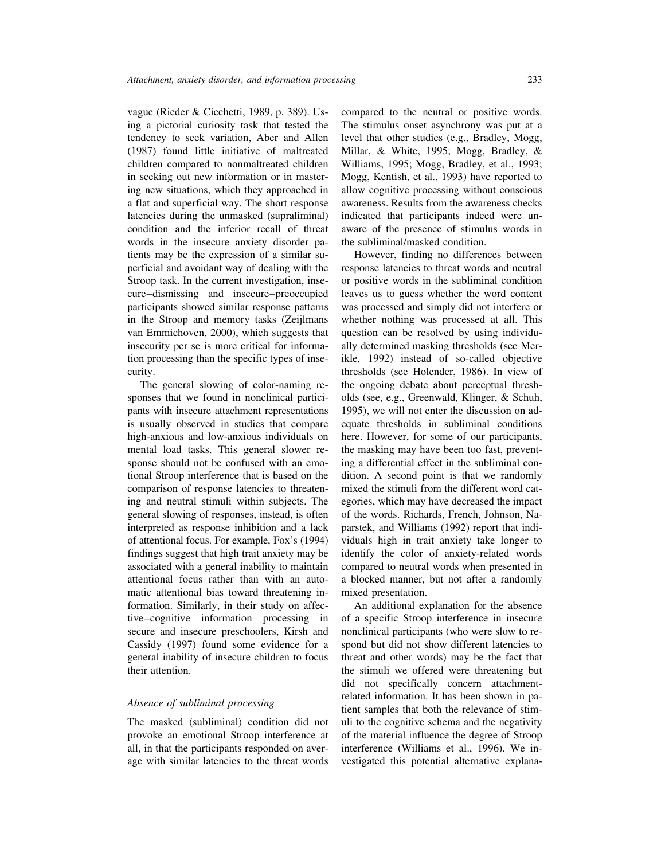ing a pictorial curiosity task that tested the The stimulus onset asynchrony was put at a tendency to seek variation, Aber and Allen level that other studies (e.g., Bradley, Mogg, (1987) found little initiative of maltreated Millar, & White, 1995; Mogg, Bradley, & children compared to nonmaltreated children Williams, 1995; Mogg, Bradley, et al., 1993; in seeking out new information or in master- Mogg, Kentish, et al., 1993) have reported to ing new situations, which they approached in allow cognitive processing without conscious a flat and superficial way. The short response awareness. Results from the awareness checks latencies during the unmasked (supraliminal) indicated that participants indeed were uncondition and the inferior recall of threat aware of the presence of stimulus words in words in the insecure anxiety disorder pa- the subliminal/masked condition. tients may be the expression of a similar su- However, finding no differences between perficial and avoidant way of dealing with the response latencies to threat words and neutral Stroop task. In the current investigation, inse- or positive words in the subliminal condition cure–dismissing and insecure–preoccupied leaves us to guess whether the word content participants showed similar response patterns was processed and simply did not interfere or in the Stroop and memory tasks (Zeijlmans whether nothing was processed at all. This van Emmichoven, 2000), which suggests that question can be resolved by using individuinsecurity per se is more critical for informa- ally determined masking thresholds (see Mertion processing than the specific types of inse- ikle, 1992) instead of so-called objective curity. thresholds (see Holender, 1986). In view of

sponses that we found in nonclinical partici- olds (see, e.g., Greenwald, Klinger, & Schuh, pants with insecure attachment representations 1995), we will not enter the discussion on adis usually observed in studies that compare equate thresholds in subliminal conditions high-anxious and low-anxious individuals on here. However, for some of our participants, mental load tasks. This general slower re- the masking may have been too fast, preventsponse should not be confused with an emo- ing a differential effect in the subliminal contional Stroop interference that is based on the dition. A second point is that we randomly comparison of response latencies to threaten- mixed the stimuli from the different word cating and neutral stimuli within subjects. The egories, which may have decreased the impact general slowing of responses, instead, is often of the words. Richards, French, Johnson, Nainterpreted as response inhibition and a lack parstek, and Williams (1992) report that indiof attentional focus. For example, Fox's (1994) viduals high in trait anxiety take longer to findings suggest that high trait anxiety may be identify the color of anxiety-related words associated with a general inability to maintain compared to neutral words when presented in attentional focus rather than with an auto- a blocked manner, but not after a randomly matic attentional bias toward threatening in- mixed presentation. formation. Similarly, in their study on affec- An additional explanation for the absence tive–cognitive information processing in of a specific Stroop interference in insecure secure and insecure preschoolers, Kirsh and nonclinical participants (who were slow to re-Cassidy (1997) found some evidence for a spond but did not show different latencies to general inability of insecure children to focus threat and other words) may be the fact that their attention. the stimuli we offered were threatening but

provoke an emotional Stroop interference at of the material influence the degree of Stroop all, in that the participants responded on aver- interference (Williams et al., 1996). We inage with similar latencies to the threat words vestigated this potential alternative explana-

vague (Rieder & Cicchetti, 1989, p. 389). Us- compared to the neutral or positive words.

The general slowing of color-naming re- the ongoing debate about perceptual thresh-

did not specifically concern attachment-*Absence of subliminal processing* related information. It has been shown in pa-<br>tient samples that both the relevance of stim-The masked (subliminal) condition did not uli to the cognitive schema and the negativity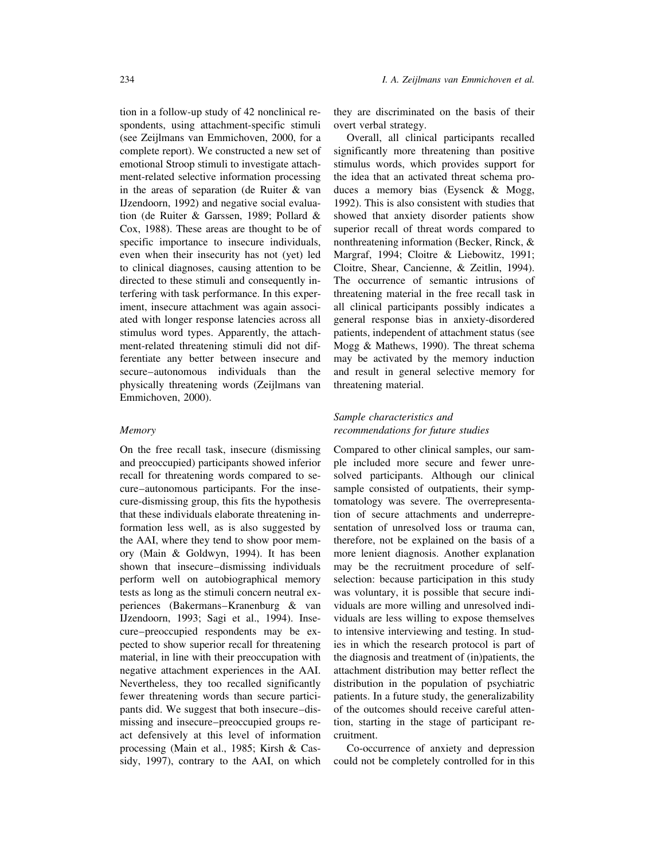spondents, using attachment-specific stimuli overt verbal strategy. (see Zeijlmans van Emmichoven, 2000, for a Overall, all clinical participants recalled physically threatening words (Zeijlmans van threatening material. Emmichoven, 2000).

and preoccupied) participants showed inferior ple included more secure and fewer unrerecall for threatening words compared to se- solved participants. Although our clinical cure–autonomous participants. For the inse- sample consisted of outpatients, their sympcure-dismissing group, this fits the hypothesis tomatology was severe. The overrepresentathat these individuals elaborate threatening in- tion of secure attachments and underrepreformation less well, as is also suggested by sentation of unresolved loss or trauma can, the AAI, where they tend to show poor mem- therefore, not be explained on the basis of a ory (Main & Goldwyn, 1994). It has been more lenient diagnosis. Another explanation shown that insecure–dismissing individuals may be the recruitment procedure of selfperform well on autobiographical memory selection: because participation in this study tests as long as the stimuli concern neutral ex- was voluntary, it is possible that secure indiperiences (Bakermans–Kranenburg & van viduals are more willing and unresolved indi-IJzendoorn, 1993; Sagi et al., 1994). Inse- viduals are less willing to expose themselves cure–preoccupied respondents may be ex- to intensive interviewing and testing. In studpected to show superior recall for threatening ies in which the research protocol is part of material, in line with their preoccupation with the diagnosis and treatment of (in)patients, the negative attachment experiences in the AAI. attachment distribution may better reflect the Nevertheless, they too recalled significantly distribution in the population of psychiatric fewer threatening words than secure partici- patients. In a future study, the generalizability pants did. We suggest that both insecure–dis- of the outcomes should receive careful attenmissing and insecure–preoccupied groups re- tion, starting in the stage of participant react defensively at this level of information cruitment. processing (Main et al., 1985; Kirsh & Cas- Co-occurrence of anxiety and depression

tion in a follow-up study of 42 nonclinical re- they are discriminated on the basis of their

complete report). We constructed a new set of significantly more threatening than positive emotional Stroop stimuli to investigate attach- stimulus words, which provides support for ment-related selective information processing the idea that an activated threat schema proin the areas of separation (de Ruiter  $\&$  van duces a memory bias (Eysenck  $\&$  Mogg, IJzendoorn, 1992) and negative social evalua- 1992). This is also consistent with studies that tion (de Ruiter & Garssen, 1989; Pollard & showed that anxiety disorder patients show Cox, 1988). These areas are thought to be of superior recall of threat words compared to specific importance to insecure individuals, nonthreatening information (Becker, Rinck, & even when their insecurity has not (yet) led Margraf, 1994; Cloitre & Liebowitz, 1991; to clinical diagnoses, causing attention to be Cloitre, Shear, Cancienne, & Zeitlin, 1994). directed to these stimuli and consequently in- The occurrence of semantic intrusions of terfering with task performance. In this exper- threatening material in the free recall task in iment, insecure attachment was again associ- all clinical participants possibly indicates a ated with longer response latencies across all general response bias in anxiety-disordered stimulus word types. Apparently, the attach-<br>patients, independent of attachment status (see ment-related threatening stimuli did not dif- Mogg & Mathews, 1990). The threat schema ferentiate any better between insecure and may be activated by the memory induction secure–autonomous individuals than the and result in general selective memory for

# *Sample characteristics and Memory recommendations for future studies*

On the free recall task, insecure (dismissing Compared to other clinical samples, our sam-

sidy, 1997), contrary to the AAI, on which could not be completely controlled for in this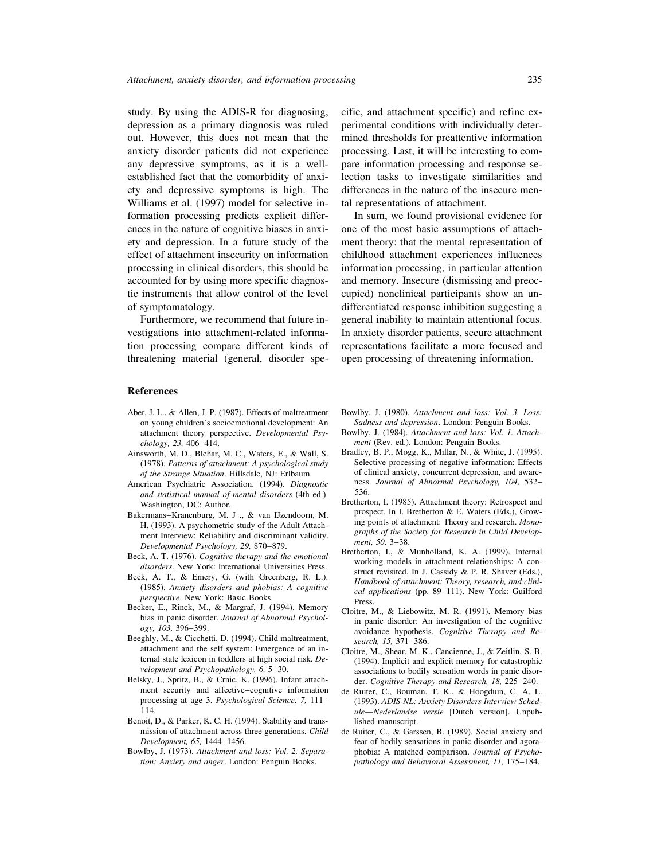depression as a primary diagnosis was ruled perimental conditions with individually deterout. However, this does not mean that the mined thresholds for preattentive information anxiety disorder patients did not experience processing. Last, it will be interesting to comany depressive symptoms, as it is a well- pare information processing and response seestablished fact that the comorbidity of anxi- lection tasks to investigate similarities and ety and depressive symptoms is high. The differences in the nature of the insecure men-Williams et al. (1997) model for selective in-<br>tal representations of attachment. formation processing predicts explicit differ- In sum, we found provisional evidence for ences in the nature of cognitive biases in anxi- one of the most basic assumptions of attachety and depression. In a future study of the ment theory: that the mental representation of effect of attachment insecurity on information childhood attachment experiences influences processing in clinical disorders, this should be information processing, in particular attention accounted for by using more specific diagnos- and memory. Insecure (dismissing and preoctic instruments that allow control of the level cupied) nonclinical participants show an unof symptomatology. differentiated response inhibition suggesting a

vestigations into attachment-related informa- In anxiety disorder patients, secure attachment tion processing compare different kinds of representations facilitate a more focused and threatening material (general, disorder spe- open processing of threatening information.

study. By using the ADIS-R for diagnosing, cific, and attachment specific) and refine ex-

Furthermore, we recommend that future in-<br>general inability to maintain attentional focus.

### **References**

- Aber, J. L., & Allen, J. P. (1987). Effects of maltreatment Bowlby, J. (1980). *Attachment and loss: Vol. 3. Loss:* on young children's socioemotional development: An *Sadness and depression*. London: Penguin Books. attachment theory perspective. *Developmental Psychology, 23,* 406–414. *ment* (Rev. ed.). London: Penguin Books.
- (1978). Patterns of attachment: A psychological study
- American Psychiatric Association. (1994). *Diagnostic* ness.<br>*and statistical manual of mantal disorders* (4th ed.) 536. 536. *and statistical manual of mental disorders* (4th ed.).
- 
- 
- 
- 
- attachment and the self system: Emergence of an in-<br>  $Cloitre, M, Shear, M. K., Cancienne, J., & Zeitlin, S. B.$ <br>  $(1994)$  Implicit and explicit memory for catastrophic
- Belsky, J., Spritz, B., & Crnic, K. (1996). Infant attach- der. *Cognitive Therapy and Research, 18*, 225–240.<br>
ment security and affective–cognitive information de Ruiter. C., Bouman, T. K., & Hoogduin, C. A. L ment security and affective–cognitive information de Ruiter, C., Bouman, T. K., & Hoogduin, C. A. L.<br>processing at age 3. Psychological Science, 7, 111– (1993). ADIS-NL: Anxiety Disorders Interview Sched-
- Benoit, D., & Parker, K. C. H. (1994). Stability and trans-<br>mission of attachment across three generations. *Child* de Ruiter, C., & Gars
- 
- 
- 
- Bradley, B. P., Mogg, K., Millar, N., & White, J. (1995).<br>Selective processing of negative information: Effects *of the Strange Situation*. Hillsdale, NJ: Erlbaum. <br>
of clinical anxiety, concurrent depression, and aware-<br> *of clinical anxiety, concurrent depression, and aware-*
- Washington, DC: Author.<br>
Washington, DC: Author. Bretherton, I. (1985). Attachment theory: Retrospect and<br>
rermans–Kranenburg M. J. & van Hzendoorn M. Prospect. In I. Bretherton & E. Waters (Eds.), Grow-
- Bakermans–Kranenburg, M. J., & van IJzendoorn, M. Prospect. In I. Bretherton & E. Waters (Eds.), Grow-<br>
H. (1993). A psychometric study of the Adult Attach-<br>
ment Interview: Reliability and discriminant validity.<br>
Developm
- *Perspective.* New York: Basic Books.<br>
Becker, E., Rinck, M., & Margraf, J. (1994). Memory<br>
bias<br>
bias in panic disorder: An investigation of the cognitive<br>
disorder: An investigation of the cognitive<br>
disorder: An investi
- ternal state lexicon in toddlers at high social risk. *De-* (1994). Implicit and explicit memory for catastrophic velopment and Psychopathology, 6, 5–30. *velopment and Psychopathology, 6,* 5–30. <br>Belsky, J., Spritz, B., & Crnic, K. (1996). Infant attach-<br>der *Coenitive Therany and Research 18*, 225–240
	- processing at age 3. *Psychological Science, 7,* 111– (1993). *ADIS-NL: Anxiety Disorders Interview Sched-*114. *ule—Nederlandse versie* [Dutch version]. Unpub-
- de Ruiter, C., & Garssen, B. (1989). Social anxiety and *Development, 65, 1444–1456.* fear of bodily sensations in panic disorder and agora-<br>Bowlby, J. (1973). Attachment and loss: Vol. 2. Separa-<br>phobia: A matched comparison. Journal of Psychophobia: A matched comparison. *Journal of Psychotion: Anxiety and anger*. London: Penguin Books. *pathology and Behavioral Assessment, 11,* 175–184.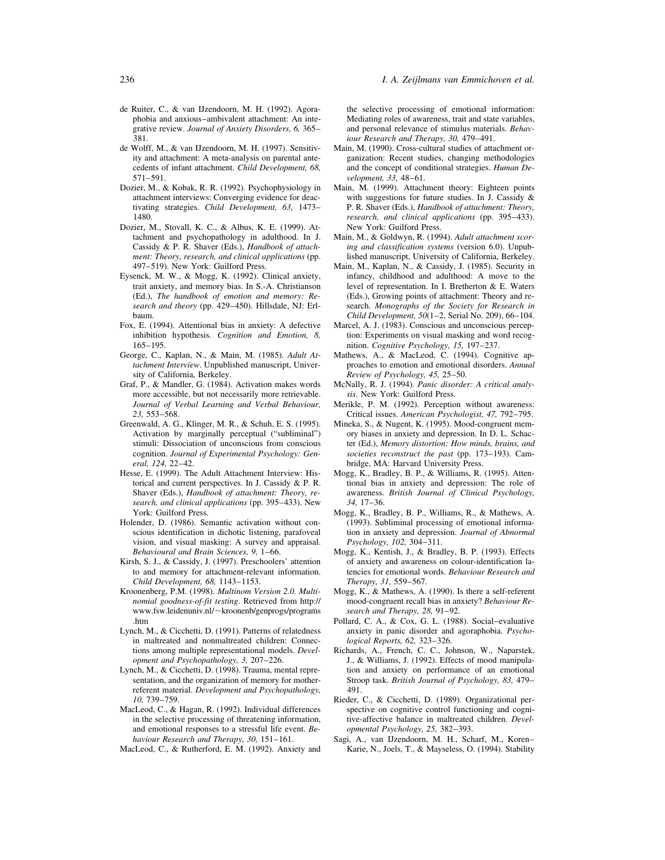- de Ruiter, C., & van IJzendoorn, M. H. (1992). Agora- the selective processing of emotional information: phobia and anxious–ambivalent attachment: An inte- Mediating roles of awareness, trait and state variables, grative review. *Journal of Anxiety Disorders, 6,* 365– and personal relevance of stimulus materials. *Behav-*381. *iour Research and Therapy, 30,* 479–491.
- 571–591. *velopment, 33,* 48–61.
- tivating strategies. *Child Development*, 63, 1473–
- Dozier, M., Stovall, K. C., & Albus, K. E. (1999). Attachment and psychopathology in adulthood. In J. Main, M., & Goldwyn, R. (1994). *Adult attachment scorment: Theory, research, and clinical applications* (pp. lished manuscript, University of California, Berkeley.
- 
- Fox, E. (1994). Attentional bias in anxiety: A defective Marcel, A. J. (1983). Conscious and unconscious percep-165–195. nition. *Cognitive Psychology, 15,* 197–237.
- George, C., Kaplan, N., & Main, M. (1985). *Adult At-* Mathews, A., & MacLeod, C. (1994). Cognitive ap-
- Graf, P., & Mandler, G. (1984). Activation makes words McNally, R. J. (1994). *Panic disorder: A critical analy*more accessible, but not necessarily more retrievable. *sis*. New York: Guilford Press.<br>*Journal of Verbal Learning and Verbal Behaviour*, Merikle, P. M. (1992). Perceptio
- *23,* 553–568. Critical issues. *American Psychologist, 47,* 792–795. cognition. *Journal of Experimental Psychology: Gen- societies reconstruct the past* (pp. 173–193). Cam*eral, 124, 22–42.* bridge, MA: Harvard University Press.<br>Hesse, E. (1999). The Adult Attachment Interview: His- Mogg, K., Bradley, B. P., & Williams, R.
- *search, and clinical applications* (pp. 395–433). New *34,* 17–36. York: Guilford Press. Mogg, K., Bradley, B. P., Williams, R., & Mathews, A.
- vision, and visual masking: A survey and appraisal.
- Kirsh, S. J., & Cassidy, J. (1997). Preschoolers' attention of anxiety and awareness on colour-identification la-
- *Child Development, 68,* 1143–1153. *Therapy, 31,* 559–567. *nomial goodness-of-fit testing*. Retrieved from http:// mood-congruent recall bias in an<br>www.fsw.leidenuniv.nl/~kroonenb/genprogs/programs search and Therapy, 28, 91-92. www.fsw.leidenuniv.nl/~kroonenb/genprogs/programs
- in maltreated and nonmaltreated children: Connec- *logical Reports, 62,* 323–326. tions among multiple representational models. *Devel*-<br>*Richards, A., French, C. C., Johnson, W., Naparstek,*<br>*J., & Williams, J. (1992).* Effects of mood manipula-
- referent material. *Development and Psychopathology*, 491. *10,* 739–759. Rieder, C., & Cicchetti, D. (1989). Organizational per-
- and emotional responses to a stressful life event. *Be- opmental Psychology, 25,* 382–393. *haviour Research and Therapy, 30,* 151–161. Sagi, A., van IJzendoorn, M. H., Scharf, M., Koren–
- 

- Main, M. (1990). Cross-cultural studies of attachment ority and attachment: A meta-analysis on parental ante- ganization: Recent studies, changing methodologies cedents of infant attachment. *Child Development, 68,* and the concept of conditional strategies. *Human De-*
- Dozier, M., & Kobak, R. R. (1992). Psychophysiology in Main, M. (1999). Attachment theory: Eighteen points attachment interviews: Converging evidence for deac-<br>with suggestions for future studies. In J. Cassidy & with suggestions for future studies. In J. Cassidy & P. R. Shaver (Eds.), Handbook of attachment: Theory, 1480. *research, and clinical applications* (pp. 395–433).
	- Cassidy & P. R. Shaver (Eds.), *Handbook of attach- ing and classification systems* (version 6.0). Unpub-
- Main, M., Kaplan, N., & Cassidy, J. (1985). Security in Eysenck, M. W., & Mogg, K. (1992). Clinical anxiety, infancy, childhood and adulthood: A move to the trait anxiety, and memory bias. In S.-A. Christianson level of representation. In I. Bretherton & E. Waters (Ed.), *The handbook of emotion and memory: Re-* (Eds.), Growing points of attachment: Theory and re*search and theory* (pp. 429–450). Hillsdale, NJ: Erl- search. *Monographs of the Society for Research in* baum. *Child Development, 50*(1–2, Serial No. 209), 66–104.
	- inhibition hypothesis. *Cognition and Emotion, 8,* tion: Experiments on visual masking and word recog-
	- *tachment Interview*. Unpublished manuscript, Univer-<br>sity of California, Berkeley.<br>Review of Psychology, 45, 25–50. sity of California, Berkeley. *Review of Psychology, 45,* 25–50.
		-
		- *Merikle, P. M. (1992). Perception without awareness:*
	- Mineka, S., & Nugent, K. (1995). Mood-congruent mem-Activation by marginally perceptual ("subliminal") ory biases in anxiety and depression. In D. L. Schacstimuli: Dissociation of unconscious from conscious ter (Ed.), *Memory distortion: How minds, brains, and* cognition. *Journal of Experimental Psychology: Gen-* societies reconstruct the past (pp. 173–193). Cam-
	- Mogg, K., Bradley, B. P., & Williams, R. (1995). Attentorical and current perspectives. In J. Cassidy & P. R. tional bias in anxiety and depression: The role of Shaver (Eds.), *Handbook of attachment: Theory, re-* awareness. *British Journal of Clinical Psychology,*
- Holender, D. (1986). Semantic activation without con- (1993). Subliminal processing of emotional informascious identification in dichotic listening, parafoveal tion in anxiety and depression. *Journal of Abnormal* vision, and visual masking: A survey and appraisal. *Psychology, 102, 304–311*.
	- *Behavioural and Brain Sciences, 9,* 1–66. Mogg, K., Kentish, J., & Bradley, B. P. (1993). Effects to and memory for attachment-relevant information. tencies for emotional words. *Behaviour Research and*
		- Mogg, K., & Mathews, A. (1990). Is there a self-referent mood-congruent recall bias in anxiety? *Behaviour Re-*
- .htm Pollard, C. A., & Cox, G. L. (1988). Social–evaluative Lynch, M., & Cicchetti, D. (1991). Patterns of relatedness anxiety in panic disorder and agoraphobia. *Psycho-*
- *J., & Williams, J. (1992). Effects of mood manipula-*Lynch, M., & Cicchetti, D. (1998). Trauma, mental repre-<br>sented by an anxiety on performance of an emotional sentation, and the organization of memory for mother-<br>Stroop task. British Journal of Psychology, 83, 479– Stroop task. *British Journal of Psychology, 83, 479–*
- MacLeod, C., & Hagan, R. (1992). Individual differences spective on cognitive control functioning and cogniin the selective processing of threatening information, tive-affective balance in maltreated children. *Devel-*
- MacLeod, C., & Rutherford, E. M. (1992). Anxiety and Karie, N., Joels, T., & Mayseless, O. (1994). Stability